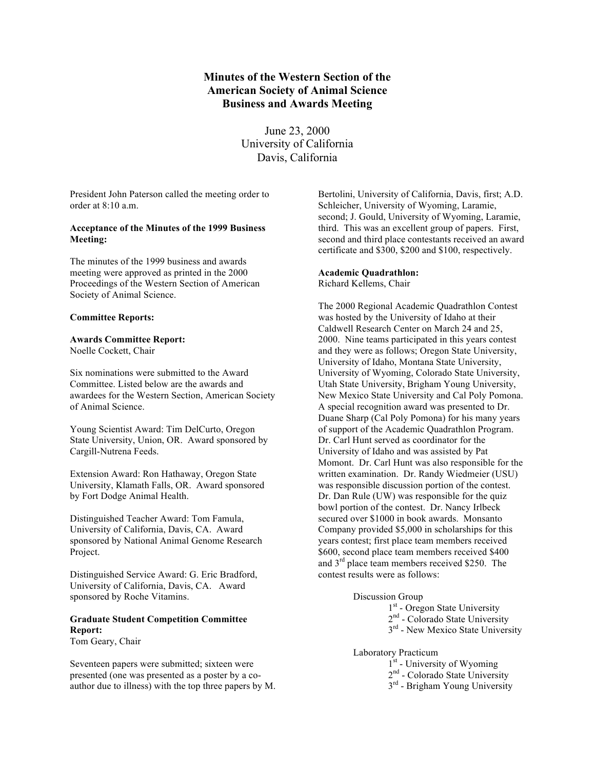# **Minutes of the Western Section of the American Society of Animal Science Business and Awards Meeting**

June 23, 2000 University of California Davis, California

President John Paterson called the meeting order to order at 8:10 a.m.

## **Acceptance of the Minutes of the 1999 Business Meeting:**

The minutes of the 1999 business and awards meeting were approved as printed in the 2000 Proceedings of the Western Section of American Society of Animal Science.

## **Committee Reports:**

## **Awards Committee Report:**

Noelle Cockett, Chair

Six nominations were submitted to the Award Committee. Listed below are the awards and awardees for the Western Section, American Society of Animal Science.

Young Scientist Award: Tim DelCurto, Oregon State University, Union, OR. Award sponsored by Cargill-Nutrena Feeds.

Extension Award: Ron Hathaway, Oregon State University, Klamath Falls, OR. Award sponsored by Fort Dodge Animal Health.

Distinguished Teacher Award: Tom Famula, University of California, Davis, CA. Award sponsored by National Animal Genome Research Project.

Distinguished Service Award: G. Eric Bradford, University of California, Davis, CA. Award sponsored by Roche Vitamins.

## **Graduate Student Competition Committee Report:**

Tom Geary, Chair

Seventeen papers were submitted; sixteen were presented (one was presented as a poster by a coauthor due to illness) with the top three papers by M. Bertolini, University of California, Davis, first; A.D. Schleicher, University of Wyoming, Laramie, second; J. Gould, University of Wyoming, Laramie, third. This was an excellent group of papers. First, second and third place contestants received an award certificate and \$300, \$200 and \$100, respectively.

## **Academic Quadrathlon:**

Richard Kellems, Chair

The 2000 Regional Academic Quadrathlon Contest was hosted by the University of Idaho at their Caldwell Research Center on March 24 and 25, 2000. Nine teams participated in this years contest and they were as follows; Oregon State University, University of Idaho, Montana State University, University of Wyoming, Colorado State University, Utah State University, Brigham Young University, New Mexico State University and Cal Poly Pomona. A special recognition award was presented to Dr. Duane Sharp (Cal Poly Pomona) for his many years of support of the Academic Quadrathlon Program. Dr. Carl Hunt served as coordinator for the University of Idaho and was assisted by Pat Momont. Dr. Carl Hunt was also responsible for the written examination. Dr. Randy Wiedmeier (USU) was responsible discussion portion of the contest. Dr. Dan Rule (UW) was responsible for the quiz bowl portion of the contest. Dr. Nancy Irlbeck secured over \$1000 in book awards. Monsanto Company provided \$5,000 in scholarships for this years contest; first place team members received \$600, second place team members received \$400 and 3<sup>rd</sup> place team members received \$250. The contest results were as follows:

## Discussion Group

1<sup>st</sup> - Oregon State University

- 2<sup>nd</sup> Colorado State University
- 3<sup>rd</sup> New Mexico State University

## Laboratory Practicum

- 1<sup>st</sup> University of Wyoming
- 2<sup>nd</sup> Colorado State University
- 3<sup>rd</sup> Brigham Young University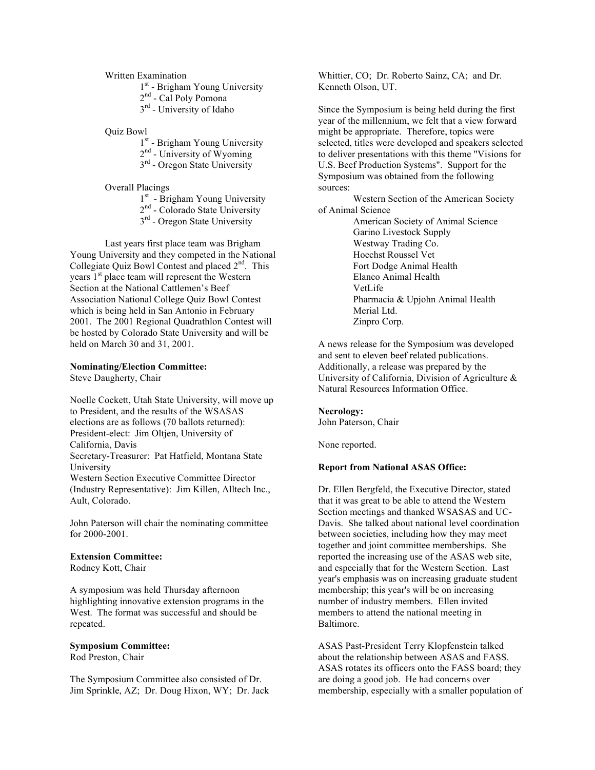Written Examination

1<sup>st</sup> - Brigham Young University

2<sup>nd</sup> - Cal Poly Pomona

3<sup>rd</sup> - University of Idaho

Quiz Bowl

1<sup>st</sup> - Brigham Young University

2<sup>nd</sup> - University of Wyoming

3<sup>rd</sup> - Oregon State University

Overall Placings

1<sup>st</sup> - Brigham Young University

- $2<sup>nd</sup>$  Colorado State University
- 3<sup>rd</sup> Oregon State University

Last years first place team was Brigham Young University and they competed in the National Collegiate Quiz Bowl Contest and placed  $2<sup>nd</sup>$ . This years 1<sup>st</sup> place team will represent the Western Section at the National Cattlemen's Beef Association National College Quiz Bowl Contest which is being held in San Antonio in February 2001. The 2001 Regional Quadrathlon Contest will be hosted by Colorado State University and will be held on March 30 and 31, 2001.

#### **Nominating/Election Committee:**

Steve Daugherty, Chair

Noelle Cockett, Utah State University, will move up to President, and the results of the WSASAS elections are as follows (70 ballots returned): President-elect: Jim Oltjen, University of California, Davis Secretary-Treasurer: Pat Hatfield, Montana State University Western Section Executive Committee Director (Industry Representative): Jim Killen, Alltech Inc., Ault, Colorado.

John Paterson will chair the nominating committee for 2000-2001.

#### **Extension Committee:**

Rodney Kott, Chair

A symposium was held Thursday afternoon highlighting innovative extension programs in the West. The format was successful and should be repeated.

#### **Symposium Committee:**

Rod Preston, Chair

The Symposium Committee also consisted of Dr. Jim Sprinkle, AZ; Dr. Doug Hixon, WY; Dr. Jack Whittier, CO; Dr. Roberto Sainz, CA; and Dr. Kenneth Olson, UT.

Since the Symposium is being held during the first year of the millennium, we felt that a view forward might be appropriate. Therefore, topics were selected, titles were developed and speakers selected to deliver presentations with this theme "Visions for U.S. Beef Production Systems". Support for the Symposium was obtained from the following sources:

Western Section of the American Society of Animal Science

> American Society of Animal Science Garino Livestock Supply Westway Trading Co. Hoechst Roussel Vet Fort Dodge Animal Health Elanco Animal Health VetLife Pharmacia & Upjohn Animal Health Merial Ltd. Zinpro Corp.

A news release for the Symposium was developed and sent to eleven beef related publications. Additionally, a release was prepared by the University of California, Division of Agriculture & Natural Resources Information Office.

## **Necrology:**

John Paterson, Chair

None reported.

#### **Report from National ASAS Office:**

Dr. Ellen Bergfeld, the Executive Director, stated that it was great to be able to attend the Western Section meetings and thanked WSASAS and UC-Davis. She talked about national level coordination between societies, including how they may meet together and joint committee memberships. She reported the increasing use of the ASAS web site, and especially that for the Western Section. Last year's emphasis was on increasing graduate student membership; this year's will be on increasing number of industry members. Ellen invited members to attend the national meeting in Baltimore.

ASAS Past-President Terry Klopfenstein talked about the relationship between ASAS and FASS. ASAS rotates its officers onto the FASS board; they are doing a good job. He had concerns over membership, especially with a smaller population of